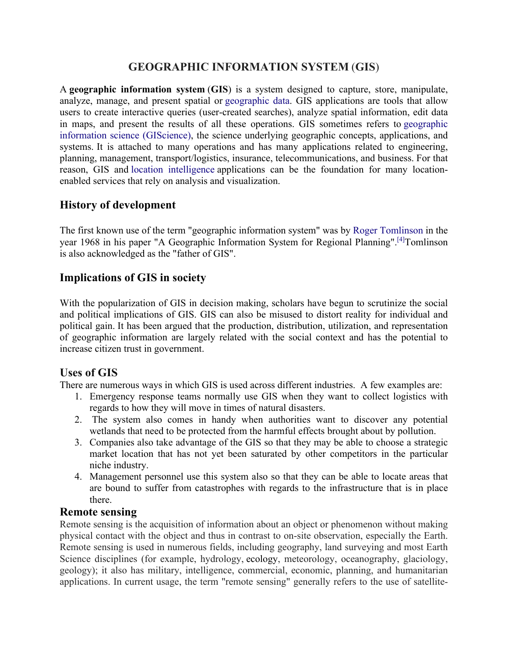## **GEOGRAPHIC INFORMATION SYSTEM** (**GIS**)

A **geographic information system** (**GIS**) is a system designed to capture, store, manipulate, analyze, manage, and present spatial or geographic data. GIS applications are tools that allow users to create interactive queries (user-created searches), analyze spatial information, edit data in maps, and present the results of all these operations. GIS sometimes refers to geographic information science (GIScience), the science underlying geographic concepts, applications, and systems. It is attached to many operations and has many applications related to engineering, planning, management, transport/logistics, insurance, telecommunications, and business. For that reason, GIS and location intelligence applications can be the foundation for many locationenabled services that rely on analysis and visualization.

## **History of development**

The first known use of the term "geographic information system" was by Roger Tomlinson in the year 1968 in his paper "A Geographic Information System for Regional Planning".<sup>[4]</sup>Tomlinson is also acknowledged as the "father of GIS".

## **Implications of GIS in society**

With the popularization of GIS in decision making, scholars have begun to scrutinize the social and political implications of GIS. GIS can also be misused to distort reality for individual and political gain. It has been argued that the production, distribution, utilization, and representation of geographic information are largely related with the social context and has the potential to increase citizen trust in government.

## **Uses of GIS**

There are numerous ways in which GIS is used across different industries. A few examples are:

- 1. Emergency response teams normally use GIS when they want to collect logistics with regards to how they will move in times of natural disasters.
- 2. The system also comes in handy when authorities want to discover any potential wetlands that need to be protected from the harmful effects brought about by pollution.
- 3. Companies also take advantage of the GIS so that they may be able to choose a strategic market location that has not yet been saturated by other competitors in the particular niche industry.
- 4. Management personnel use this system also so that they can be able to locate areas that are bound to suffer from catastrophes with regards to the infrastructure that is in place there.

#### **Remote sensing**

Remote sensing is the acquisition of information about an object or phenomenon without making physical contact with the object and thus in contrast to on-site observation, especially the Earth. Remote sensing is used in numerous fields, including geography, land surveying and most Earth Science disciplines (for example, hydrology, ecology, meteorology, oceanography, glaciology, geology); it also has military, intelligence, commercial, economic, planning, and humanitarian applications. In current usage, the term "remote sensing" generally refers to the use of satellite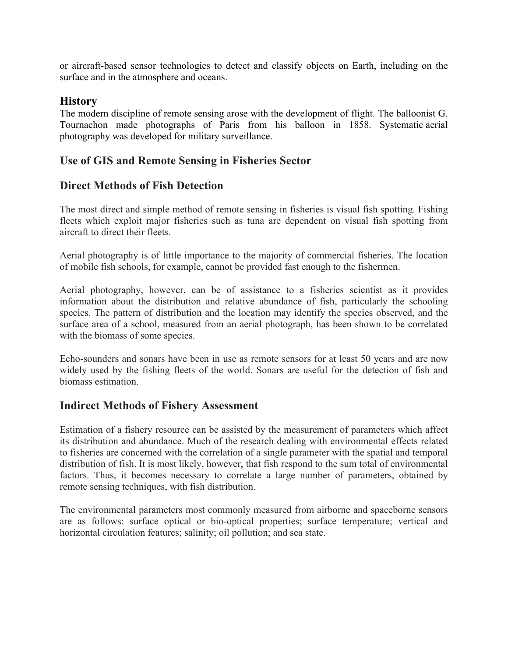or aircraft-based sensor technologies to detect and classify objects on Earth, including on the surface and in the atmosphere and oceans.

## **History**

The modern discipline of remote sensing arose with the development of flight. The balloonist G. Tournachon made photographs of Paris from his balloon in 1858. Systematic aerial photography was developed for military surveillance.

## **Use of GIS and Remote Sensing in Fisheries Sector**

#### **Direct Methods of Fish Detection**

The most direct and simple method of remote sensing in fisheries is visual fish spotting. Fishing fleets which exploit major fisheries such as tuna are dependent on visual fish spotting from aircraft to direct their fleets.

Aerial photography is of little importance to the majority of commercial fisheries. The location of mobile fish schools, for example, cannot be provided fast enough to the fishermen.

Aerial photography, however, can be of assistance to a fisheries scientist as it provides information about the distribution and relative abundance of fish, particularly the schooling species. The pattern of distribution and the location may identify the species observed, and the surface area of a school, measured from an aerial photograph, has been shown to be correlated with the biomass of some species.

Echo-sounders and sonars have been in use as remote sensors for at least 50 years and are now widely used by the fishing fleets of the world. Sonars are useful for the detection of fish and biomass estimation.

#### **Indirect Methods of Fishery Assessment**

Estimation of a fishery resource can be assisted by the measurement of parameters which affect its distribution and abundance. Much of the research dealing with environmental effects related to fisheries are concerned with the correlation of a single parameter with the spatial and temporal distribution of fish. It is most likely, however, that fish respond to the sum total of environmental factors. Thus, it becomes necessary to correlate a large number of parameters, obtained by remote sensing techniques, with fish distribution.

The environmental parameters most commonly measured from airborne and spaceborne sensors are as follows: surface optical or bio-optical properties; surface temperature; vertical and horizontal circulation features; salinity; oil pollution; and sea state.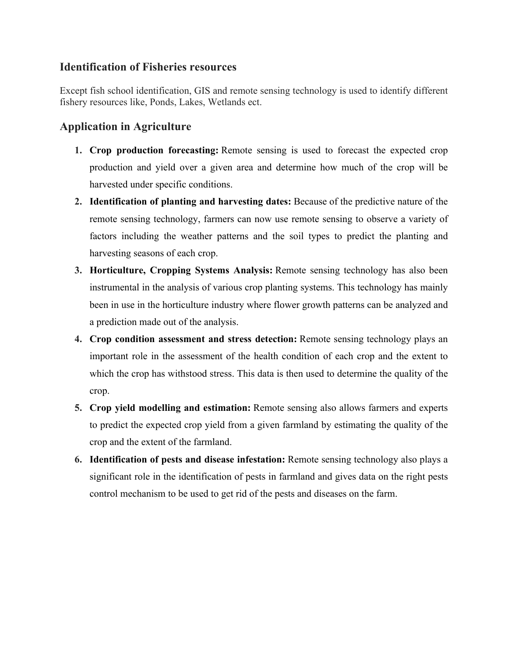### **Identification of Fisheries resources**

Except fish school identification, GIS and remote sensing technology is used to identify different fishery resources like, Ponds, Lakes, Wetlands ect.

# **Application in Agriculture**

- **1. Crop production forecasting:** Remote sensing is used to forecast the expected crop production and yield over a given area and determine how much of the crop will be harvested under specific conditions.
- **2. Identification of planting and harvesting dates:** Because of the predictive nature of the remote sensing technology, farmers can now use remote sensing to observe a variety of factors including the weather patterns and the soil types to predict the planting and harvesting seasons of each crop.
- **3. Horticulture, Cropping Systems Analysis:** Remote sensing technology has also been instrumental in the analysis of various crop planting systems. This technology has mainly been in use in the horticulture industry where flower growth patterns can be analyzed and a prediction made out of the analysis.
- **4. Crop condition assessment and stress detection:** Remote sensing technology plays an important role in the assessment of the health condition of each crop and the extent to which the crop has withstood stress. This data is then used to determine the quality of the crop.
- **5. Crop yield modelling and estimation:** Remote sensing also allows farmers and experts to predict the expected crop yield from a given farmland by estimating the quality of the crop and the extent of the farmland.
- **6. Identification of pests and disease infestation:** Remote sensing technology also plays a significant role in the identification of pests in farmland and gives data on the right pests control mechanism to be used to get rid of the pests and diseases on the farm.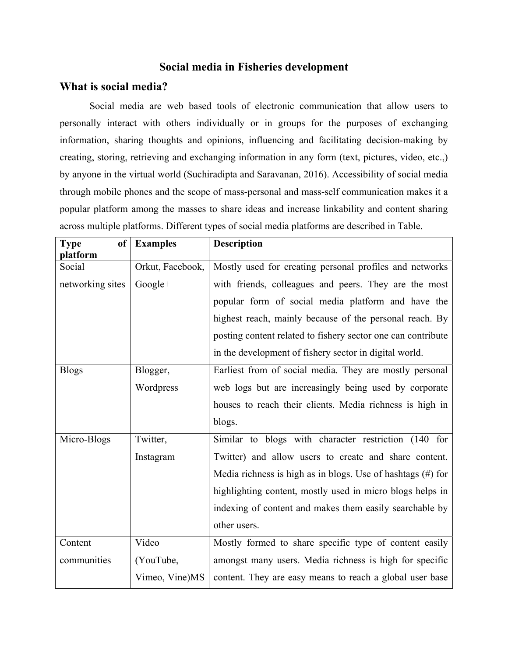#### **Social media in Fisheries development**

#### **What is social media?**

Social media are web based tools of electronic communication that allow users to personally interact with others individually or in groups for the purposes of exchanging information, sharing thoughts and opinions, influencing and facilitating decision-making by creating, storing, retrieving and exchanging information in any form (text, pictures, video, etc.,) by anyone in the virtual world (Suchiradipta and Saravanan, 2016). Accessibility of social media through mobile phones and the scope of mass-personal and mass-self communication makes it a popular platform among the masses to share ideas and increase linkability and content sharing across multiple platforms. Different types of social media platforms are described in Table.

| <b>Type</b><br><b>of</b><br>platform | <b>Examples</b>  | <b>Description</b>                                             |
|--------------------------------------|------------------|----------------------------------------------------------------|
| Social                               | Orkut, Facebook, | Mostly used for creating personal profiles and networks        |
| networking sites                     | Google+          | with friends, colleagues and peers. They are the most          |
|                                      |                  | popular form of social media platform and have the             |
|                                      |                  | highest reach, mainly because of the personal reach. By        |
|                                      |                  | posting content related to fishery sector one can contribute   |
|                                      |                  | in the development of fishery sector in digital world.         |
| <b>Blogs</b>                         | Blogger,         | Earliest from of social media. They are mostly personal        |
|                                      | Wordpress        | web logs but are increasingly being used by corporate          |
|                                      |                  | houses to reach their clients. Media richness is high in       |
|                                      |                  | blogs.                                                         |
| Micro-Blogs                          | Twitter,         | Similar to blogs with character restriction (140 for           |
|                                      | Instagram        | Twitter) and allow users to create and share content.          |
|                                      |                  | Media richness is high as in blogs. Use of hashtags $(\#)$ for |
|                                      |                  | highlighting content, mostly used in micro blogs helps in      |
|                                      |                  | indexing of content and makes them easily searchable by        |
|                                      |                  | other users.                                                   |
| Content                              | Video            | Mostly formed to share specific type of content easily         |
| communities                          | (YouTube,        | amongst many users. Media richness is high for specific        |
|                                      | Vimeo, Vine)MS   | content. They are easy means to reach a global user base       |